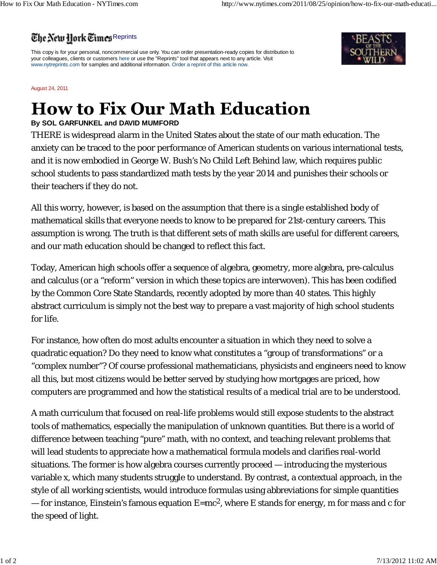## The New Hork Times Reprints

This copy is for your personal, noncommercial use only. You can order presentation-ready copies for distribution to your colleagues, clients or customers here or use the "Reprints" tool that appears next to any article. Visit www.nytreprints.com for samples and additional information. Order a reprint of this article now.



August 24, 2011

## **How to Fix Our Math Education**

## **By SOL GARFUNKEL and DAVID MUMFORD**

THERE is widespread alarm in the United States about the state of our math education. The anxiety can be traced to the poor performance of American students on various international tests, and it is now embodied in George W. Bush's No Child Left Behind law, which requires public school students to pass standardized math tests by the year 2014 and punishes their schools or their teachers if they do not.

All this worry, however, is based on the assumption that there is a single established body of mathematical skills that everyone needs to know to be prepared for 21st-century careers. This assumption is wrong. The truth is that different sets of math skills are useful for different careers, and our math education should be changed to reflect this fact.

Today, American high schools offer a sequence of algebra, geometry, more algebra, pre-calculus and calculus (or a "reform" version in which these topics are interwoven). This has been codified by the Common Core State Standards, recently adopted by more than 40 states. This highly abstract curriculum is simply not the best way to prepare a vast majority of high school students for life.

For instance, how often do most adults encounter a situation in which they need to solve a quadratic equation? Do they need to know what constitutes a "group of transformations" or a "complex number"? Of course professional mathematicians, physicists and engineers need to know all this, but most citizens would be better served by studying how mortgages are priced, how computers are programmed and how the statistical results of a medical trial are to be understood.

A math curriculum that focused on real-life problems would still expose students to the abstract tools of mathematics, especially the manipulation of unknown quantities. But there is a world of difference between teaching "pure" math, with no context, and teaching relevant problems that will lead students to appreciate how a mathematical formula models and clarifies real-world situations. The former is how algebra courses currently proceed — introducing the mysterious variable x, which many students struggle to understand. By contrast, a contextual approach, in the style of all working scientists, would introduce formulas using abbreviations for simple quantities — for instance, Einstein's famous equation  $E=mc^2$ , where E stands for energy, m for mass and c for the speed of light.